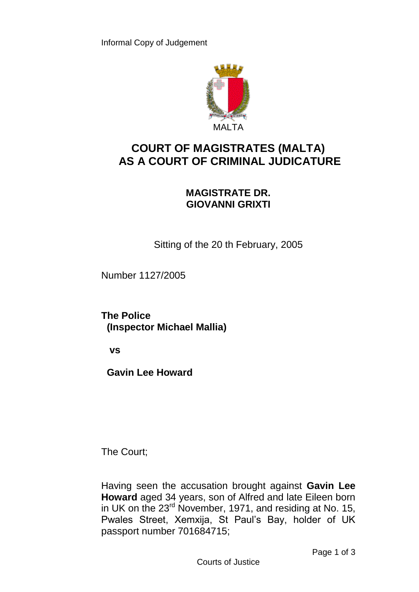

## **COURT OF MAGISTRATES (MALTA) AS A COURT OF CRIMINAL JUDICATURE**

## **MAGISTRATE DR. GIOVANNI GRIXTI**

Sitting of the 20 th February, 2005

Number 1127/2005

**The Police (Inspector Michael Mallia)**

 **vs**

 **Gavin Lee Howard**

The Court;

Having seen the accusation brought against **Gavin Lee Howard** aged 34 years, son of Alfred and late Eileen born in UK on the 23<sup>rd</sup> November, 1971, and residing at No. 15, Pwales Street, Xemxija, St Paul's Bay, holder of UK passport number 701684715;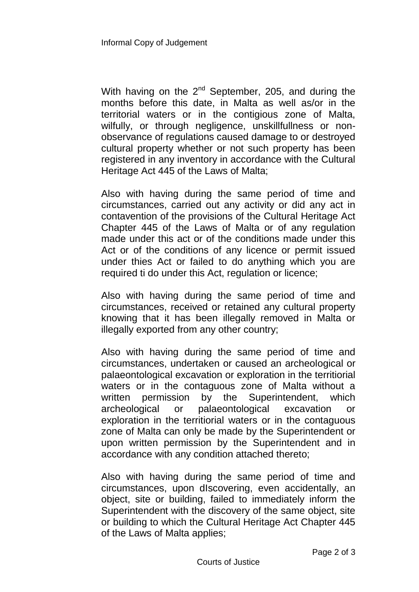With having on the  $2^{nd}$  September, 205, and during the months before this date, in Malta as well as/or in the territorial waters or in the contigious zone of Malta, wilfully, or through negligence, unskillfullness or nonobservance of regulations caused damage to or destroyed cultural property whether or not such property has been registered in any inventory in accordance with the Cultural Heritage Act 445 of the Laws of Malta;

Also with having during the same period of time and circumstances, carried out any activity or did any act in contavention of the provisions of the Cultural Heritage Act Chapter 445 of the Laws of Malta or of any regulation made under this act or of the conditions made under this Act or of the conditions of any licence or permit issued under thies Act or failed to do anything which you are required ti do under this Act, regulation or licence;

Also with having during the same period of time and circumstances, received or retained any cultural property knowing that it has been illegally removed in Malta or illegally exported from any other country;

Also with having during the same period of time and circumstances, undertaken or caused an archeological or palaeontological excavation or exploration in the territiorial waters or in the contaguous zone of Malta without a written permission by the Superintendent, which archeological or palaeontological excavation or exploration in the territiorial waters or in the contaguous zone of Malta can only be made by the Superintendent or upon written permission by the Superintendent and in accordance with any condition attached thereto;

Also with having during the same period of time and circumstances, upon dIscovering, even accidentally, an object, site or building, failed to immediately inform the Superintendent with the discovery of the same object, site or building to which the Cultural Heritage Act Chapter 445 of the Laws of Malta applies;